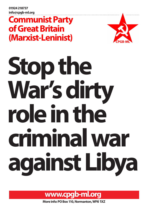**01924 218737 info@cpgb-ml.org**

## **Communist Party of Great Britain (Marxist-Leninist)**



# Stop the **role in the War's dirty criminal war against Libya**



**More info: PO Box 110, Normanton, WF6 1XZ**